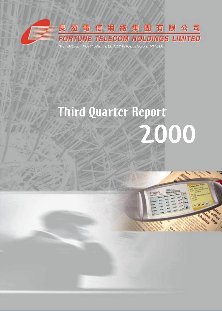

# Third Quarter Report



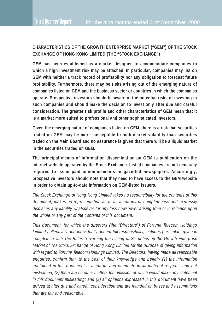## **CHARACTERISTICS OF THE GROWTH ENTERPRISE MARKET ("GEM") OF THE STOCK EXCHANGE OF HONG KONG LIMITED (THE "STOCK EXCHANGE")**

**GEM has been established as a market designed to accommodate companies to which a high investment risk may be attached. In particular, companies may list on GEM with neither a track record of profitability nor any obligation to forecast future profitability. Furthermore, there may be risks arising out of the emerging nature of companies listed on GEM and the business sector or countries in which the companies operate. Prospective investors should be aware of the potential risks of investing in such companies and should make the decision to invest only after due and careful consideration. The greater risk profile and other characteristics of GEM mean that it is a market more suited to professional and other sophisticated investors.**

**Given the emerging nature of companies listed on GEM, there is a risk that securities traded on GEM may be more susceptible to high market volatility than securities traded on the Main Board and no assurance is given that there will be a liquid market in the securities traded on GEM.**

**The principal means of information dissemination on GEM is publication on the internet website operated by the Stock Exchange. Listed companies are not generally required to issue paid announcements in gazetted newspapers. Accordingly, prospective investors should note that they need to have access to the GEM website in order to obtain up-to-date information on GEM-listed issuers.**

The Stock Exchange of Hong Kong Limited takes no responsibility for the contents of this document, makes no representation as to its accuracy or completeness and expressly disclaims any liability whatsoever for any loss howsoever arising from or in reliance upon the whole or any part of the contents of this document.

This document, for which the directors (the "Directors") of Fortune Telecom Holdings Limited collectively and individually accept full responsibility, includes particulars given in compliance with The Rules Governing the Listing of Securities on the Growth Enterprise Market of The Stock Exchange of Hong Kong Limited for the purpose of giving information with regard to Fortune Telecom Holdings Limited. The Directors, having made all reasonable enquiries, confirm that, to the best of their knowledge and belief:- (1) the information contained in this document is accurate and complete in all material respects and not misleading; (2) there are no other matters the omission of which would make any statement in this document misleading; and (3) all opinions expressed in this document have been arrived at after due and careful consideration and are founded on bases and assumptions that are fair and reasonable.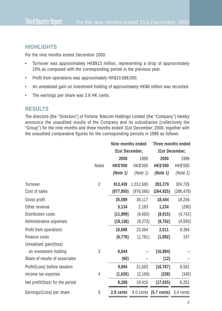## **HIGHLIGHTS**

For the nine months ended December 2000:

- Turnover was approximately HK\$913 million, representing a drop of approximately 10% as compared with the corresponding period in the previous year.
- Profit from operations was approximately HK\$10,688,000.
- An unrealised gain on investment holding of approximately HK\$6 million was recorded.
- The earnings per share was 2.8 HK cents.

#### **RESULTS**

The directors (the "Directors") of Fortune Telecom Holdings Limited (the "Company") hereby announce the unaudited results of the Company and its subsidiaries (collectively the "Group") for the nine months and three months ended 31st December, 2000, together with the unaudited comparative figures for the corresponding periods in 1999 as follows:

|                                  |                | Nine months ended |            | Three months ended              |            |
|----------------------------------|----------------|-------------------|------------|---------------------------------|------------|
|                                  |                | 31st December,    |            | 31st December,                  |            |
|                                  |                | 2000              | 1999       | 2000                            | 1999       |
|                                  | Notes          | <b>HK\$'000</b>   | HK\$'000   | <b>HK\$'000</b>                 | HK\$'000   |
|                                  |                | (Note 1)          | (Note 1)   | (Note 1)                        | (Note 1)   |
| Turnover                         | $\overline{2}$ | 913,439           | 1,012,683  | 283,379                         | 304,735    |
| Cost of sales                    |                | (877, 850)        | (976, 566) | (264, 925)                      | (286, 479) |
| Gross profit                     |                | 35,589            | 36,117     | 18,454                          | 18,256     |
| Other revenue                    |                | 5,134             | 2,183      | 1,234                           | (290)      |
| Distribution costs               |                | (11, 899)         | (6,663)    | (8, 915)                        | (4, 742)   |
| Administrative expenses          |                | (18, 136)         | (8, 273)   | (8, 762)                        | (4,830)    |
| Profit from operations           |                | 10,688            | 23,364     | 2,011                           | 8,394      |
| Finance costs                    |                | (6, 778)          | (1, 781)   | (1,892)                         | 197        |
| Unrealised gain/(loss)           |                |                   |            |                                 |            |
| on investment holding            | 3              | 6,044             |            | (16, 894)                       |            |
| Share of results of associates   |                | (60)              |            | (12)                            |            |
| Profit/(Loss) before taxation    |                | 9,894             | 21,583     | (16, 787)                       | 8,591      |
| Income tax expense               | 4              | (1,626)           | (2, 168)   | (238)                           | (340)      |
| Net profit/(loss) for the period |                | 8,268             | 19,415     | (17, 025)                       | 8,251      |
| Earnings/(Loss) per share        | 5              | 2.8 cents         |            | 8.0 cents (5.7 cents) 3.4 cents |            |
|                                  |                |                   |            |                                 |            |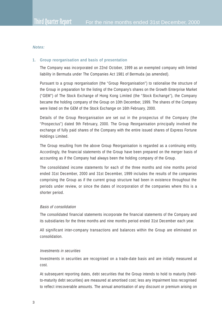#### **Notes:**

#### **1. Group reorganisation and basis of presentation**

The Company was incorporated on 22nd October, 1999 as an exempted company with limited liability in Bermuda under The Companies Act 1981 of Bermuda (as amended).

Pursuant to a group reorganisation (the "Group Reorganisation") to rationalise the structure of the Group in preparation for the listing of the Company's shares on the Growth Enterprise Market ("GEM") of The Stock Exchange of Hong Kong Limited (the "Stock Exchange"), the Company became the holding company of the Group on 10th December, 1999. The shares of the Company were listed on the GEM of the Stock Exchange on 16th February, 2000.

Details of the Group Reorganisation are set out in the prospectus of the Company (the "Prospectus") dated 9th February, 2000. The Group Reorganisation principally involved the exchange of fully paid shares of the Company with the entire issued shares of Express Fortune Holdings Limited.

The Group resulting from the above Group Reorganisation is regarded as a continuing entity. Accordingly, the financial statements of the Group have been prepared on the merger basis of accounting as if the Company had always been the holding company of the Group.

The consolidated income statements for each of the three months and nine months period ended 31st December, 2000 and 31st December, 1999 includes the results of the companies comprising the Group as if the current group structure had been in existence throughout the periods under review, or since the dates of incorporation of the companies where this is a shorter period.

#### Basis of consolidation

The consolidated financial statements incorporate the financial statements of the Company and its subsidiaries for the three months and nine months period ended 31st December each year.

All significant inter-company transactions and balances within the Group are eliminated on consolidation.

#### Investments in securities

Investments in securities are recognised on a trade-date basis and are initially measured at cost.

At subsequent reporting dates, debt securities that the Group intends to hold to maturity (heldto-maturity debt securities) are measured at amortised cost; less any impairment loss recognised to reflect irrecoverable amounts. The annual amortisation of any discount or premium arising on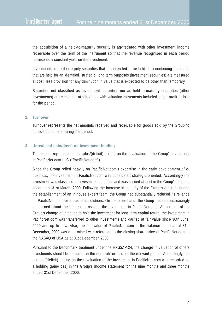the acquisition of a held-to-maturity security is aggregated with other investment income receivable over the term of the instrument so that the revenue recognised in each period represents a constant yield on the investment.

Investments in debt or equity securities that are intended to be held on a continuing basis and that are held for an identified, strategic, long term purposes (investment securities) are measured at cost, less provision for any diminution in value that is expected to be other than temporary.

Securities not classified as investment securities nor as held-to-maturity securities (other investments) are measured at fair value, with valuation movements included in net profit or loss for the period.

#### **2. Turnover**

Turnover represents the net amounts received and receivable for goods sold by the Group to outside customers during the period.

#### **3. Unrealised gain/(loss) on investment holding**

The amount represents the surplus/(deficit) arising on the revaluation of the Group's investment in PacificNet.com LLC ("PacificNet.com")

Since the Group relied heavily on PacificNet.com's expertise in the early development of ebusiness, the investment in PacificNet.com was considered strategic oriented. Accordingly the investment was classified as investment securities and was carried at cost in the Group's balance sheet as at 31st March, 2000. Following the increase in maturity of the Group's e-business and the establishment of an in-house expert team, the Group had substantially reduced its reliance on PacificNet.com for e-business solutions. On the other hand, the Group became increasingly concerned about the future returns from the investment in PacificNet.com. As a result of the Group's change of intention to hold the investment for long term capital return, the investment in PacificNet.com was transferred to other investments and carried at fair value since 30th June, 2000 and up to now. Also, the fair value of PacificNet.com in the balance sheet as at 31st December, 2000 was determined with reference to the closing share price of PacificNet.com in the NASAQ of USA as at 31st December, 2000.

Pursuant to the benchmark treatment under the HKSSAP 24, the change in valuation of others investments should be included in the net profit or loss for the relevant period. Accordingly, the surplus/(deficit) arising on the revaluation of the investment in PacificNet.com was recorded as a holding gain/(loss) in the Group's income statement for the nine months and three months ended 31st December, 2000.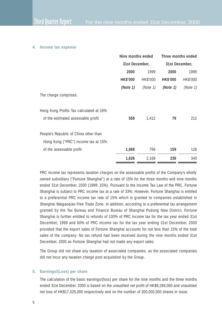#### **4. Income tax expense**

|                                         | Nine months ended<br>31st December, |          | Three months ended<br>31st December, |          |
|-----------------------------------------|-------------------------------------|----------|--------------------------------------|----------|
|                                         |                                     |          |                                      |          |
|                                         | 2000                                | 1999     | 2000                                 | 1999     |
|                                         | <b>HK\$'000</b>                     | HK\$'000 | <b>HK\$'000</b>                      | HK\$'000 |
|                                         | (Note 1)                            | (Note 1) | (Note 1)                             | (Note 1) |
| The charge comprises:                   |                                     |          |                                      |          |
| Hong Kong Profits Tax calculated at 16% |                                     |          |                                      |          |
| of the estimated assessable profit      | 558                                 | 1,412    | 79                                   | 212      |
| People's Republic of China other than   |                                     |          |                                      |          |
| Hong Kong ("PRC") income tax at 15%     |                                     |          |                                      |          |
| of the assessable profit                | 1,068                               | 756      | 159                                  | 128      |
|                                         | 1,626                               | 2,168    | 238                                  | 340      |

PRC income tax represents taxation charges on the assessable profits of the Company's wholly owned subsidiary ("Fortune Shanghai") at a rate of 15% for the three months and nine months ended 31st December, 2000 (1999: 15%). Pursuant to the Income Tax Law of the PRC, Fortune Shanghai is subject to PRC income tax at a rate of 33%. However, Fortune Shanghai is entitled to a preferential PRC income tax rate of 15% which is granted to companies established in Shanghai Waigaoqiao Free Trade Zone. In addition, according to a preferential tax arrangement granted by the Tax Bureau and Finance Bureau of Shanghai Pudong New District, Fortune Shanghai is further entitled to refunds of 100% of PRC income tax for the tax year ended 31st December, 1999 and 50% of PRC income tax for the tax year ending 31st December, 2000 provided that the export sales of Fortune Shanghai accounts for not less than 15% of the total sales of the company. No tax refund had been received during the nine months ended 31st December, 2000 as Fortune Shanghai had not made any export sales.

The Group did not share any taxation of associated companies, as the associated companies did not incur any taxation charge post acquisition by the Group.

#### **5. Earnings/(Loss) per share**

The calculation of the basic earnings/(loss) per share for the nine months and the three months ended 31st December, 2000 is based on the unaudited net profit of HK\$8,268,000 and unaudited net loss of HK\$17,025,000 respectively and on the number of 300,000,000 shares in issue.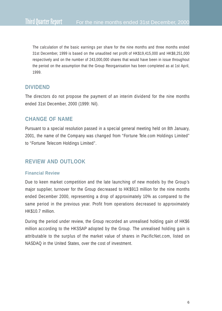The calculation of the basic earnings per share for the nine months and three months ended 31st December, 1999 is based on the unaudited net profit of HK\$19,415,000 and HK\$8,251,000 respectively and on the number of 243,000,000 shares that would have been in issue throughout the period on the assumption that the Group Reorganisation has been completed as at 1st April, 1999.

# **DIVIDEND**

The directors do not propose the payment of an interim dividend for the nine months ended 31st December, 2000 (1999: Nil).

# **CHANGE OF NAME**

Pursuant to a special resolution passed in a special general meeting held on 8th January, 2001, the name of the Company was changed from "Fortune Tele.com Holdings Limited" to "Fortune Telecom Holdings Limited".

# **REVIEW AND OUTLOOK**

#### **Financial Review**

Due to keen market competition and the late launching of new models by the Group's major supplier, turnover for the Group decreased to HK\$913 million for the nine months ended December 2000, representing a drop of approximately 10% as compared to the same period in the previous year. Profit from operations decreased to approximately HK\$10.7 million.

During the period under review, the Group recorded an unrealised holding gain of HK\$6 million according to the HKSSAP adopted by the Group. The unrealised holding gain is attributable to the surplus of the market value of shares in PacificNet.com, listed on NASDAQ in the United States, over the cost of investment.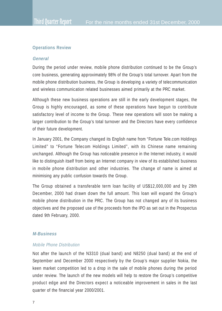#### **Operations Review**

#### **General**

During the period under review, mobile phone distribution continued to be the Group's core business, generating approximately 98% of the Group's total turnover. Apart from the mobile phone distribution business, the Group is developing a variety of telecommunication and wireless communication related businesses aimed primarily at the PRC market.

Although these new business operations are still in the early development stages, the Group is highly encouraged, as some of these operations have begun to contribute satisfactory level of income to the Group. These new operations will soon be making a larger contribution to the Group's total turnover and the Directors have every confidence of their future development.

In January 2001, the Company changed its English name from "Fortune Tele.com Holdings Limited" to "Fortune Telecom Holdings Limited", with its Chinese name remaining unchanged. Although the Group has noticeable presence in the Internet industry, it would like to distinguish itself from being an Internet company in view of its established business in mobile phone distribution and other industries. The change of name is aimed at minimising any public confusion towards the Group.

The Group obtained a transferable term loan facility of US\$12,000,000 and by 29th December, 2000 had drawn down the full amount. This loan will expand the Group's mobile phone distribution in the PRC. The Group has not changed any of its business objectives and the proposed use of the proceeds from the IPO as set out in the Prospectus dated 9th February, 2000.

#### **M-Business**

#### Mobile Phone Distribution

Not after the launch of the N3310 (dual band) and N8250 (dual band) at the end of September and December 2000 respectively by the Group's major supplier Nokia, the keen market competition led to a drop in the sale of mobile phones during the period under review. The launch of the new models will help to restore the Group's competitive product edge and the Directors expect a noticeable improvement in sales in the last quarter of the financial year 2000/2001.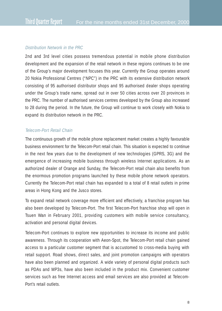#### Distribution Network in the PRC

2nd and 3rd level cities possess tremendous potential in mobile phone distribution development and the expansion of the retail network in these regions continues to be one of the Group's major development focuses this year. Currently the Group operates around 20 Nokia Professional Centres ("NPC") in the PRC with its extensive distribution network consisting of 95 authorised distributor shops and 95 authorised dealer shops operating under the Group's trade name, spread out in over 50 cities across over 20 provinces in the PRC. The number of authorised services centres developed by the Group also increased to 28 during the period. In the future, the Group will continue to work closely with Nokia to expand its distribution network in the PRC.

#### Telecom-Port Retail Chain

The continuous growth of the mobile phone replacement market creates a highly favourable business environment for the Telecom-Port retail chain. This situation is expected to continue in the next few years due to the development of new technologies (GPRS, 3G) and the emergence of increasing mobile business through wireless Internet applications. As an authorized dealer of Orange and Sunday, the Telecom-Port retail chain also benefits from the enormous promotion programs launched by these mobile phone network operators. Currently the Telecom-Port retail chain has expanded to a total of 8 retail outlets in prime areas in Hong Kong and the Jusco stores.

To expand retail network coverage more efficient and effectively, a franchise program has also been developed by Telecom-Port. The first Telecom-Port franchise shop will open in Tsuen Wan in February 2001, providing customers with mobile service consultancy, activation and personal digital devices.

Telecom-Port continues to explore new opportunities to increase its income and public awareness. Through its cooperation with Aeon-Spot, the Telecom-Port retail chain gained access to a particular customer segment that is accustomed to cross-media buying with retail support. Road shows, direct sales, and joint promotion campaigns with operators have also been planned and organized. A wide variety of personal digital products such as PDAs and MP3s, have also been included in the product mix. Convenient customer services such as free Internet access and email services are also provided at Telecom-Port's retail outlets.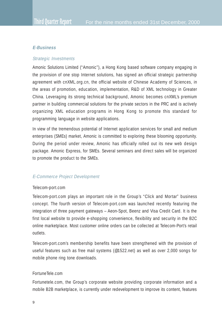## **E-Business**

## Strategic Investments

Amonic Solutions Limited ("Amonic"), a Hong Kong based software company engaging in the provision of one stop Internet solutions, has signed an official strategic partnership agreement with cnXML.org.cn, the official website of Chinese Academy of Sciences, in the areas of promotion, education, implementation, R&D of XML technology in Greater China. Leveraging its strong technical background, Amonic becomes cnXML's premium partner in building commercial solutions for the private sectors in the PRC and is actively organizing XML education programs in Hong Kong to promote this standard for programming language in website applications.

In view of the tremendous potential of Internet application services for small and medium enterprises (SMEs) market, Amonic is committed to exploring these blooming opportunity. During the period under review, Amonic has officially rolled out its new web design package. Amonic Express, for SMEs. Several seminars and direct sales will be organized to promote the product to the SMEs.

## E-Commerce Project Development

#### Telecom-port.com

Telecom-port.com plays an important role in the Group's "Click and Mortar" business concept. The fourth version of Telecom-port.com was launched recently featuring the integration of three payment gateways – Aeon-Spot, Beenz and Visa Credit Card. It is the first local website to provide e-shopping convenience, flexibility and security in the B2C online marketplace. Most customer online orders can be collected at Telecom-Port's retail outlets.

Telecom-port.com's membership benefits have been strengthened with the provision of useful features such as free mail systems (@1522.net) as well as over 2,000 songs for mobile phone ring tone downloads.

#### FortuneTele.com

Fortunetele.com, the Group's corporate website providing corporate information and a mobile B2B marketplace, is currently under redevelopment to improve its content, features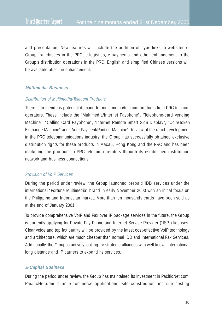and presentation. New features will include the addition of hyperlinks to websites of Group franchisees in the PRC, e-logistics, e-payments and other enhancement to the Group's distribution operations in the PRC. English and simplified Chinese versions will be available after the enhancement.

#### **Multimedia Business**

## Distribution of Multimedia/Telecom Products

There is tremendous potential demand for multi-media/telecom products from PRC telecom operators. These include the "Multimedia/Internet Payphone", "Telephone-card Vending Machine", "Calling Card Payphone", "Internet Remote Smart Sign Display", "Coin/Token Exchange Machine" and "Auto Payment/Printing Machine". In view of the rapid development in the PRC telecommunications industry, the Group has successfully obtained exclusive distribution rights for these products in Macau, Hong Kong and the PRC and has been marketing the products to PRC telecom operators through its established distribution network and business connections.

## Provision of VoIP Services

During the period under review, the Group launched prepaid IDD services under the international "Fortune Multimedia" brand in early November 2000 with an initial focus on the Philippino and Indonesian market. More than ten thousands cards have been sold as at the end of January 2001.

To provide comprehensive VoIP and Fax over IP package services in the future, the Group is currently applying for Private Pay Phone and Internet Service Provider ("ISP") licenses. Clear voice and top fax quality will be provided by the latest cost-effective VoIP technology and architecture, which are much cheaper than normal IDD and International Fax Services. Additionally, the Group is actively looking for strategic alliances with well-known international long distance and IP carriers to expand its services.

# **E-Capital Business**

During the period under review, the Group has maintained its investment in PacificNet.com. PacificNet.com is an e-commerce applications, site construction and site hosting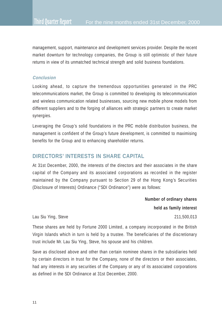management, support, maintenance and development services provider. Despite the recent market downturn for technology companies, the Group is still optimistic of their future returns in view of its unmatched technical strength and solid business foundations.

#### **Conclusion**

Looking ahead, to capture the tremendous opportunities generated in the PRC telecommunications market, the Group is committed to developing its telecommunication and wireless communication related businesses, sourcing new mobile phone models from different suppliers and to the forging of alliances with strategic partners to create market synergies.

Leveraging the Group's solid foundations in the PRC mobile distribution business, the management is confident of the Group's future development, is committed to maximising benefits for the Group and to enhancing shareholder returns.

# **DIRECTORS' INTERESTS IN SHARE CAPITAL**

At 31st December, 2000, the interests of the directors and their associates in the share capital of the Company and its associated corporations as recorded in the register maintained by the Company pursuant to Section 29 of the Hong Kong's Securities (Disclosure of Interests) Ordinance ("SDI Ordinance") were as follows:

**Number of ordinary shares**

**held as family interest**

Lau Siu Ying, Steve 211,500,013

These shares are held by Fortune 2000 Limited, a company incorporated in the British Virgin Islands which in turn is held by a trustee. The beneficiaries of the discretionary trust include Mr. Lau Siu Ying, Steve, his spouse and his children.

Save as disclosed above and other than certain nominee shares in the subsidiaries held by certain directors in trust for the Company, none of the directors or their associates, had any interests in any securities of the Company or any of its associated corporations as defined in the SDI Ordinance at 31st December, 2000.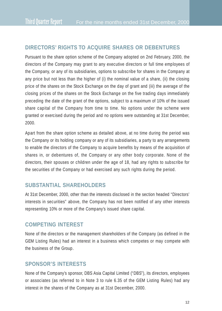# **DIRECTORS' RIGHTS TO ACQUIRE SHARES OR DEBENTURES**

Pursuant to the share option scheme of the Company adopted on 2nd February, 2000, the directors of the Company may grant to any executive directors or full time employees of the Company, or any of its subsidiaries, options to subscribe for shares in the Company at any price but not less than the higher of (i) the nominal value of a share, (ii) the closing price of the shares on the Stock Exchange on the day of grant and (iii) the average of the closing prices of the shares on the Stock Exchange on the five trading days immediately preceding the date of the grant of the options, subject to a maximum of 10% of the issued share capital of the Company from time to time. No options under the scheme were granted or exercised during the period and no options were outstanding at 31st December, 2000.

Apart from the share option scheme as detailed above, at no time during the period was the Company or its holding company or any of its subsidiaries, a party to any arrangements to enable the directors of the Company to acquire benefits by means of the acquisition of shares in, or debentures of, the Company or any other body corporate. None of the directors, their spouses or children under the age of 18, had any rights to subscribe for the securities of the Company or had exercised any such rights during the period.

# **SUBSTANTIAL SHAREHOLDERS**

At 31st December, 2000, other than the interests disclosed in the section headed "Directors' interests in securities" above, the Company has not been notified of any other interests representing 10% or more of the Company's issued share capital.

## **COMPETING INTEREST**

None of the directors or the management shareholders of the Company (as defined in the GEM Listing Rules) had an interest in a business which competes or may compete with the business of the Group.

## **SPONSOR'S INTERESTS**

None of the Company's sponsor, DBS Asia Capital Limited ("DBS"), its directors, employees or associates (as referred to in Note 3 to rule 6.35 of the GEM Listing Rules) had any interest in the shares of the Company as at 31st December, 2000.